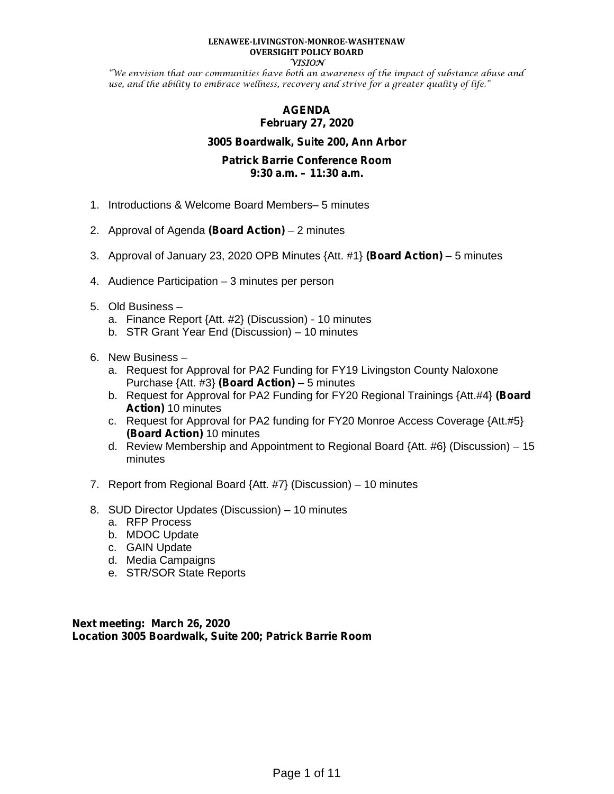#### **LENAWEE-LIVINGSTON-MONROE-WASHTENAW OVERSIGHT POLICY BOARD VISION**

"We envision that our communities have both an awareness of the impact of substance abuse and use, and the ability to embrace wellness, recovery and strive for a greater quality of life."

# **AGENDA February 27, 2020**

# **3005 Boardwalk, Suite 200, Ann Arbor**

# **Patrick Barrie Conference Room 9:30 a.m. – 11:30 a.m.**

- 1. Introductions & Welcome Board Members– 5 minutes
- 2. Approval of Agenda **(Board Action)** 2 minutes
- 3. Approval of January 23, 2020 OPB Minutes {Att. #1} **(Board Action)** 5 minutes
- 4. Audience Participation 3 minutes per person
- 5. Old Business
	- a. Finance Report {Att. #2} (Discussion) 10 minutes
	- b. STR Grant Year End (Discussion) 10 minutes
- 6. New Business
	- a. Request for Approval for PA2 Funding for FY19 Livingston County Naloxone Purchase {Att. #3} **(Board Action)** – 5 minutes
	- b. Request for Approval for PA2 Funding for FY20 Regional Trainings {Att.#4} **(Board Action)** 10 minutes
	- c. Request for Approval for PA2 funding for FY20 Monroe Access Coverage {Att.#5} **(Board Action)** 10 minutes
	- d. Review Membership and Appointment to Regional Board {Att. #6} (Discussion) 15 minutes
- 7. Report from Regional Board {Att. #7} (Discussion) 10 minutes
- 8. SUD Director Updates (Discussion) 10 minutes
	- a. RFP Process
	- b. MDOC Update
	- c. GAIN Update
	- d. Media Campaigns
	- e. STR/SOR State Reports

**Next meeting: March 26, 2020 Location 3005 Boardwalk, Suite 200; Patrick Barrie Room**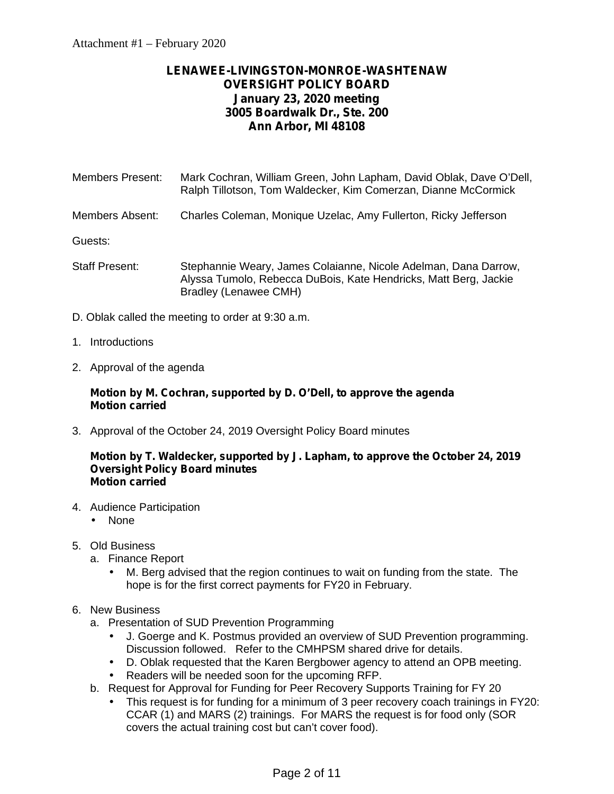# **LENAWEE-LIVINGSTON-MONROE-WASHTENAW OVERSIGHT POLICY BOARD January 23, 2020 meeting 3005 Boardwalk Dr., Ste. 200 Ann Arbor, MI 48108**

Members Present: Mark Cochran, William Green, John Lapham, David Oblak, Dave O'Dell, Ralph Tillotson, Tom Waldecker, Kim Comerzan, Dianne McCormick

Members Absent: Charles Coleman, Monique Uzelac, Amy Fullerton, Ricky Jefferson

Guests:

- Staff Present: Stephannie Weary, James Colaianne, Nicole Adelman, Dana Darrow, Alyssa Tumolo, Rebecca DuBois, Kate Hendricks, Matt Berg, Jackie Bradley (Lenawee CMH)
- D. Oblak called the meeting to order at 9:30 a.m.
- 1. Introductions
- 2. Approval of the agenda

# **Motion by M. Cochran, supported by D. O'Dell, to approve the agenda Motion carried**

3. Approval of the October 24, 2019 Oversight Policy Board minutes

#### **Motion by T. Waldecker, supported by J. Lapham, to approve the October 24, 2019 Oversight Policy Board minutes Motion carried**

- 4. Audience Participation
	- None
- 5. Old Business
	- a. Finance Report
		- M. Berg advised that the region continues to wait on funding from the state. The hope is for the first correct payments for FY20 in February.
- 6. New Business
	- a. Presentation of SUD Prevention Programming
		- J. Goerge and K. Postmus provided an overview of SUD Prevention programming. Discussion followed. Refer to the CMHPSM shared drive for details.
		- D. Oblak requested that the Karen Bergbower agency to attend an OPB meeting.
		- Readers will be needed soon for the upcoming RFP.
	- b. Request for Approval for Funding for Peer Recovery Supports Training for FY 20
		- This request is for funding for a minimum of 3 peer recovery coach trainings in FY20: CCAR (1) and MARS (2) trainings. For MARS the request is for food only (SOR covers the actual training cost but can't cover food).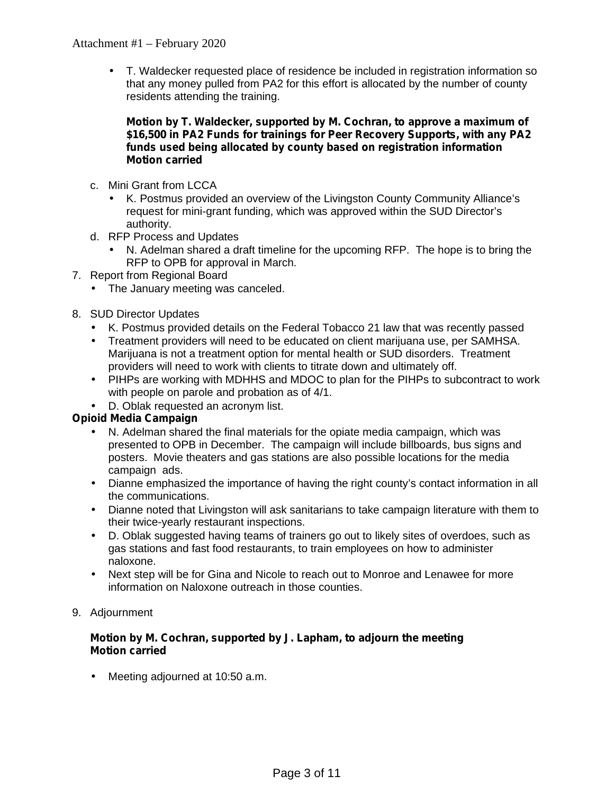T. Waldecker requested place of residence be included in registration information so that any money pulled from PA2 for this effort is allocated by the number of county residents attending the training.

# **Motion by T. Waldecker, supported by M. Cochran, to approve a maximum of \$16,500 in PA2 Funds for trainings for Peer Recovery Supports, with any PA2 funds used being allocated by county based on registration information Motion carried**

- c. Mini Grant from LCCA
	- K. Postmus provided an overview of the Livingston County Community Alliance's request for mini-grant funding, which was approved within the SUD Director's authority.
- d. RFP Process and Updates
	- N. Adelman shared a draft timeline for the upcoming RFP. The hope is to bring the RFP to OPB for approval in March.
- 7. Report from Regional Board
	- The January meeting was canceled.
- 8. SUD Director Updates
	- K. Postmus provided details on the Federal Tobacco 21 law that was recently passed
	- Treatment providers will need to be educated on client marijuana use, per SAMHSA. Marijuana is not a treatment option for mental health or SUD disorders. Treatment providers will need to work with clients to titrate down and ultimately off.
	- PIHPs are working with MDHHS and MDOC to plan for the PIHPs to subcontract to work with people on parole and probation as of 4/1.
	- D. Oblak requested an acronym list.

# **Opioid Media Campaign**

- N. Adelman shared the final materials for the opiate media campaign, which was presented to OPB in December. The campaign will include billboards, bus signs and posters. Movie theaters and gas stations are also possible locations for the media campaign ads.
- Dianne emphasized the importance of having the right county's contact information in all the communications.
- Dianne noted that Livingston will ask sanitarians to take campaign literature with them to their twice-yearly restaurant inspections.
- D. Oblak suggested having teams of trainers go out to likely sites of overdoes, such as gas stations and fast food restaurants, to train employees on how to administer naloxone.
- Next step will be for Gina and Nicole to reach out to Monroe and Lenawee for more information on Naloxone outreach in those counties.
- 9. Adjournment

# **Motion by M. Cochran, supported by J. Lapham, to adjourn the meeting Motion carried**

Meeting adjourned at 10:50 a.m.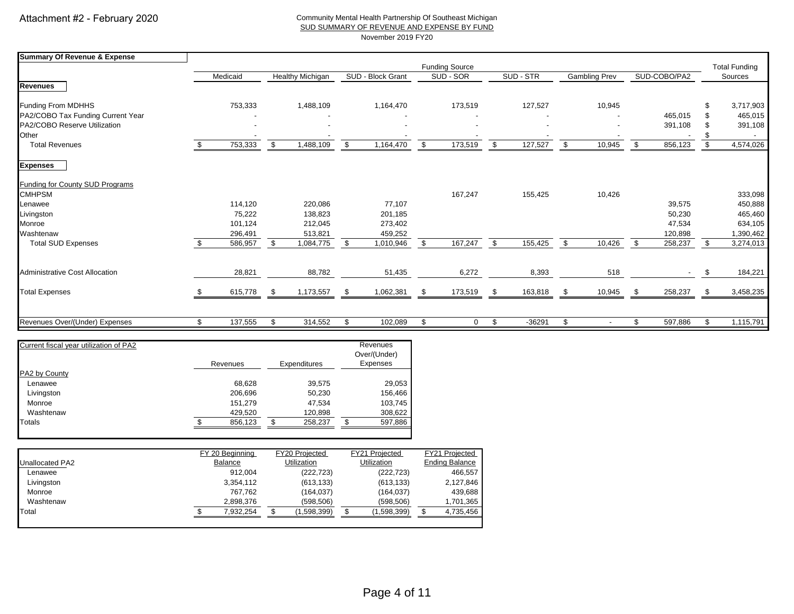#### Community Mental Health Partnership Of Southeast Michigan SUD SUMMARY OF REVENUE AND EXPENSE BY FUND November 2019 FY20

| <b>Summary Of Revenue &amp; Expense</b> |               |                  |                   |                       |                |                      |    |              |      |                      |
|-----------------------------------------|---------------|------------------|-------------------|-----------------------|----------------|----------------------|----|--------------|------|----------------------|
|                                         |               |                  |                   | <b>Funding Source</b> |                |                      |    |              |      | <b>Total Funding</b> |
|                                         | Medicaid      | Healthy Michigan | SUD - Block Grant | SUD - SOR             | SUD - STR      | <b>Gambling Prev</b> |    | SUD-COBO/PA2 |      | Sources              |
| <b>Revenues</b>                         |               |                  |                   |                       |                |                      |    |              |      |                      |
| Funding From MDHHS                      | 753,333       | 1,488,109        | 1,164,470         | 173,519               | 127,527        | 10,945               |    |              |      | 3,717,903            |
| PA2/COBO Tax Funding Current Year       |               |                  |                   |                       |                |                      |    | 465,015      |      | 465,015              |
| PA2/COBO Reserve Utilization            |               |                  |                   |                       |                |                      |    | 391,108      |      | 391,108              |
| Other                                   |               |                  |                   |                       |                |                      |    |              |      |                      |
| <b>Total Revenues</b>                   | 753,333       | \$<br>1,488,109  | \$<br>1,164,470   | \$<br>173,519         | \$<br>127,527  | \$<br>10,945         | £. | 856,123      | \$   | 4,574,026            |
| <b>Expenses</b>                         |               |                  |                   |                       |                |                      |    |              |      |                      |
| Funding for County SUD Programs         |               |                  |                   |                       |                |                      |    |              |      |                      |
| <b>CMHPSM</b>                           |               |                  |                   | 167,247               | 155,425        | 10,426               |    |              |      | 333,098              |
| Lenawee                                 | 114,120       | 220,086          | 77,107            |                       |                |                      |    | 39,575       |      | 450,888              |
| Livingston                              | 75,222        | 138,823          | 201,185           |                       |                |                      |    | 50,230       |      | 465,460              |
| Monroe                                  | 101,124       | 212,045          | 273,402           |                       |                |                      |    | 47,534       |      | 634,105              |
| Washtenaw                               | 296,491       | 513,821          | 459,252           |                       |                |                      |    | 120,898      |      | 1,390,462            |
| <b>Total SUD Expenses</b>               | 586,957       | \$<br>1,084,775  | \$<br>1,010,946   | \$<br>167,247         | \$<br>155,425  | \$<br>10,426         | \$ | 258,237      | \$   | 3,274,013            |
| Administrative Cost Allocation          | 28,821        | 88,782           | 51,435            | 6,272                 | 8,393          | 518                  |    |              |      | 184,221              |
|                                         |               |                  |                   |                       |                |                      |    |              |      |                      |
| <b>Total Expenses</b>                   | 615,778       | 1,173,557        | 1,062,381         | 173,519               | 163,818        | 10,945               |    | 258,237      | - \$ | 3,458,235            |
|                                         |               |                  |                   |                       |                |                      |    |              |      |                      |
| Revenues Over/(Under) Expenses          | \$<br>137,555 | \$<br>314,552    | \$<br>102,089     | \$<br>$\mathbf 0$     | \$<br>$-36291$ | \$                   |    | 597,886      | -S   | 1,115,791            |

| Current fiscal year utilization of PA2 |          |               |   | Revenues<br>Over/(Under) |
|----------------------------------------|----------|---------------|---|--------------------------|
|                                        | Revenues | Expenditures  |   | Expenses                 |
| PA2 by County                          |          |               |   |                          |
| Lenawee                                | 68,628   | 39,575        |   | 29,053                   |
| Livingston                             | 206,696  | 50,230        |   | 156,466                  |
| Monroe                                 | 151,279  | 47,534        |   | 103,745                  |
| Washtenaw                              | 429,520  | 120,898       |   | 308,622                  |
| Totals                                 | 856,123  | \$<br>258.237 | ъ | 597,886                  |

|                        | FY 20 Beginning | FY20 Projected     | FY21 Projected     | FY21 Projected        |
|------------------------|-----------------|--------------------|--------------------|-----------------------|
| <b>Unallocated PA2</b> | Balance         | <b>Utilization</b> | <b>Utilization</b> | <b>Ending Balance</b> |
| Lenawee                | 912.004         | (222.723)          | (222, 723)         | 466.557               |
| Livingston             | 3.354.112       | (613, 133)         | (613, 133)         | 2,127,846             |
| Monroe                 | 767.762         | (164, 037)         | (164.037)          | 439.688               |
| Washtenaw              | 2.898.376       | (598.506)          | (598, 506)         | 1,701,365             |
| Total                  | 7.932.254       | (1,598,399)        | (1,598,399)        | 4,735,456             |
|                        |                 |                    |                    |                       |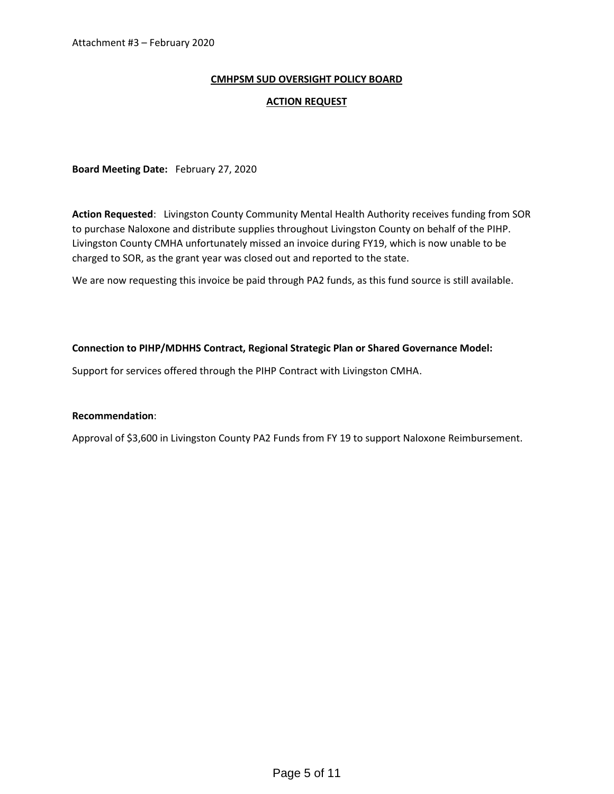### **CMHPSM SUD OVERSIGHT POLICY BOARD**

#### **ACTION REQUEST**

**Board Meeting Date:** February 27, 2020

**Action Requested**: Livingston County Community Mental Health Authority receives funding from SOR to purchase Naloxone and distribute supplies throughout Livingston County on behalf of the PIHP. Livingston County CMHA unfortunately missed an invoice during FY19, which is now unable to be charged to SOR, as the grant year was closed out and reported to the state.

We are now requesting this invoice be paid through PA2 funds, as this fund source is still available.

#### **Connection to PIHP/MDHHS Contract, Regional Strategic Plan or Shared Governance Model:**

Support for services offered through the PIHP Contract with Livingston CMHA.

#### **Recommendation**:

Approval of \$3,600 in Livingston County PA2 Funds from FY 19 to support Naloxone Reimbursement.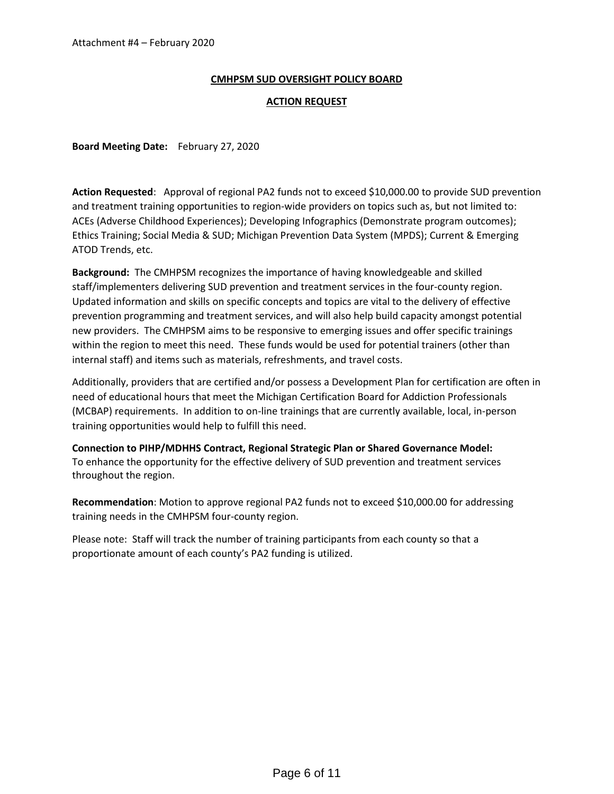#### **CMHPSM SUD OVERSIGHT POLICY BOARD**

#### **ACTION REQUEST**

**Board Meeting Date:** February 27, 2020

**Action Requested**: Approval of regional PA2 funds not to exceed \$10,000.00 to provide SUD prevention and treatment training opportunities to region-wide providers on topics such as, but not limited to: ACEs (Adverse Childhood Experiences); Developing Infographics (Demonstrate program outcomes); Ethics Training; Social Media & SUD; Michigan Prevention Data System (MPDS); Current & Emerging ATOD Trends, etc.

**Background:** The CMHPSM recognizes the importance of having knowledgeable and skilled staff/implementers delivering SUD prevention and treatment services in the four-county region. Updated information and skills on specific concepts and topics are vital to the delivery of effective prevention programming and treatment services, and will also help build capacity amongst potential new providers. The CMHPSM aims to be responsive to emerging issues and offer specific trainings within the region to meet this need. These funds would be used for potential trainers (other than internal staff) and items such as materials, refreshments, and travel costs.

Additionally, providers that are certified and/or possess a Development Plan for certification are often in need of educational hours that meet the Michigan Certification Board for Addiction Professionals (MCBAP) requirements. In addition to on-line trainings that are currently available, local, in-person training opportunities would help to fulfill this need.

**Connection to PIHP/MDHHS Contract, Regional Strategic Plan or Shared Governance Model:** To enhance the opportunity for the effective delivery of SUD prevention and treatment services throughout the region.

**Recommendation**: Motion to approve regional PA2 funds not to exceed \$10,000.00 for addressing training needs in the CMHPSM four-county region.

Please note: Staff will track the number of training participants from each county so that a proportionate amount of each county's PA2 funding is utilized.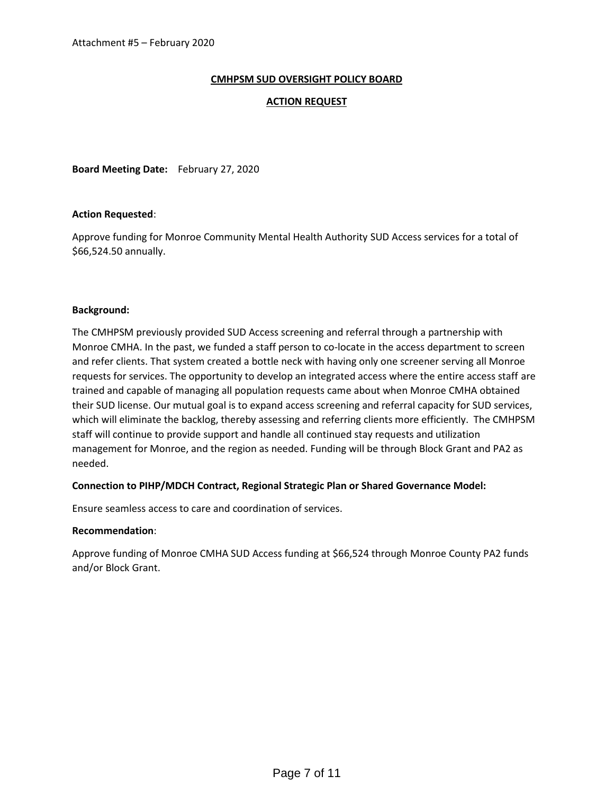### **CMHPSM SUD OVERSIGHT POLICY BOARD**

#### **ACTION REQUEST**

**Board Meeting Date:** February 27, 2020

#### **Action Requested**:

Approve funding for Monroe Community Mental Health Authority SUD Access services for a total of \$66,524.50 annually.

#### **Background:**

The CMHPSM previously provided SUD Access screening and referral through a partnership with Monroe CMHA. In the past, we funded a staff person to co-locate in the access department to screen and refer clients. That system created a bottle neck with having only one screener serving all Monroe requests for services. The opportunity to develop an integrated access where the entire access staff are trained and capable of managing all population requests came about when Monroe CMHA obtained their SUD license. Our mutual goal is to expand access screening and referral capacity for SUD services, which will eliminate the backlog, thereby assessing and referring clients more efficiently. The CMHPSM staff will continue to provide support and handle all continued stay requests and utilization management for Monroe, and the region as needed. Funding will be through Block Grant and PA2 as needed.

#### **Connection to PIHP/MDCH Contract, Regional Strategic Plan or Shared Governance Model:**

Ensure seamless access to care and coordination of services.

#### **Recommendation**:

Approve funding of Monroe CMHA SUD Access funding at \$66,524 through Monroe County PA2 funds and/or Block Grant.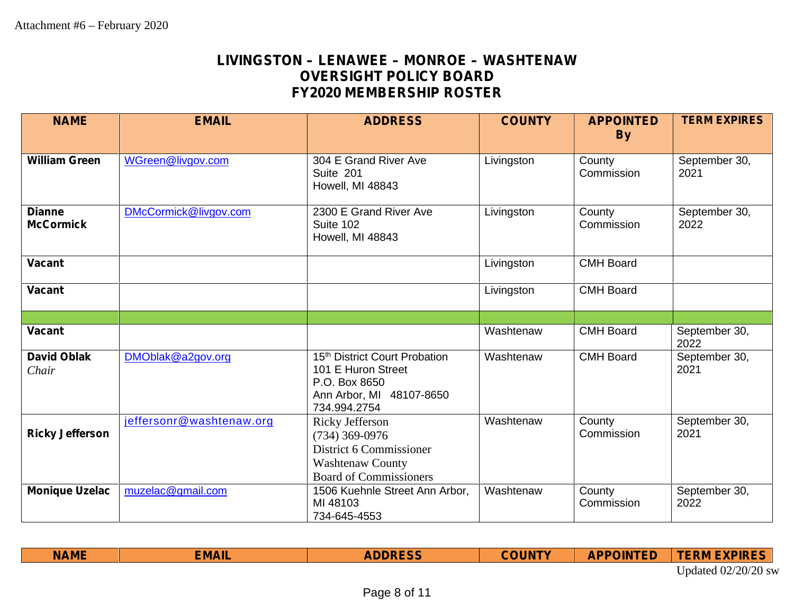# **LIVINGSTON – LENAWEE –MONROE – WASHTENAW OVERSIGHT POLICY BOARD FY2020 MEMBERSHIP ROSTER**

| <b>NAME</b>                       | <b>EMAIL</b>             | <b>ADDRESS</b>                                                                                                               | <b>COUNTY</b> | <b>APPOINTED</b><br><b>By</b> | <b>TERM EXPIRES</b>   |
|-----------------------------------|--------------------------|------------------------------------------------------------------------------------------------------------------------------|---------------|-------------------------------|-----------------------|
| <b>William Green</b>              | WGreen@livgov.com        | 304 E Grand River Ave<br>Suite 201<br>Howell, MI 48843                                                                       | Livingston    | County<br>Commission          | September 30,<br>2021 |
| <b>Dianne</b><br><b>McCormick</b> | DMcCormick@livgov.com    | 2300 E Grand River Ave<br>Suite 102<br>Howell, MI 48843                                                                      | Livingston    | County<br>Commission          | September 30,<br>2022 |
| <b>Vacant</b>                     |                          |                                                                                                                              | Livingston    | <b>CMH Board</b>              |                       |
| <b>Vacant</b>                     |                          |                                                                                                                              | Livingston    | <b>CMH Board</b>              |                       |
|                                   |                          |                                                                                                                              |               |                               |                       |
| <b>Vacant</b>                     |                          |                                                                                                                              | Washtenaw     | <b>CMH Board</b>              | September 30,<br>2022 |
| <b>David Oblak</b><br>Chair       | DMOblak@a2gov.org        | 15 <sup>th</sup> District Court Probation<br>101 E Huron Street<br>P.O. Box 8650<br>Ann Arbor, MI 48107-8650<br>734.994.2754 | Washtenaw     | <b>CMH Board</b>              | September 30,<br>2021 |
| <b>Ricky Jefferson</b>            | jeffersonr@washtenaw.org | Ricky Jefferson<br>$(734)$ 369-0976<br>District 6 Commissioner<br><b>Washtenaw County</b><br><b>Board of Commissioners</b>   | Washtenaw     | County<br>Commission          | September 30,<br>2021 |
| <b>Monique Uzelac</b>             | muzelac@gmail.com        | 1506 Kuehnle Street Ann Arbor,<br>MI 48103<br>734-645-4553                                                                   | Washtenaw     | County<br>Commission          | September 30,<br>2022 |

| <b>NAME</b> | <b>EMAIL</b> | <b>ADDRESS</b> | <b>COUNTY</b> | <b>APPOINTED</b> | <b>TERM EXPIRES</b>   |
|-------------|--------------|----------------|---------------|------------------|-----------------------|
|             |              |                |               |                  | Updated $02/20/20$ sw |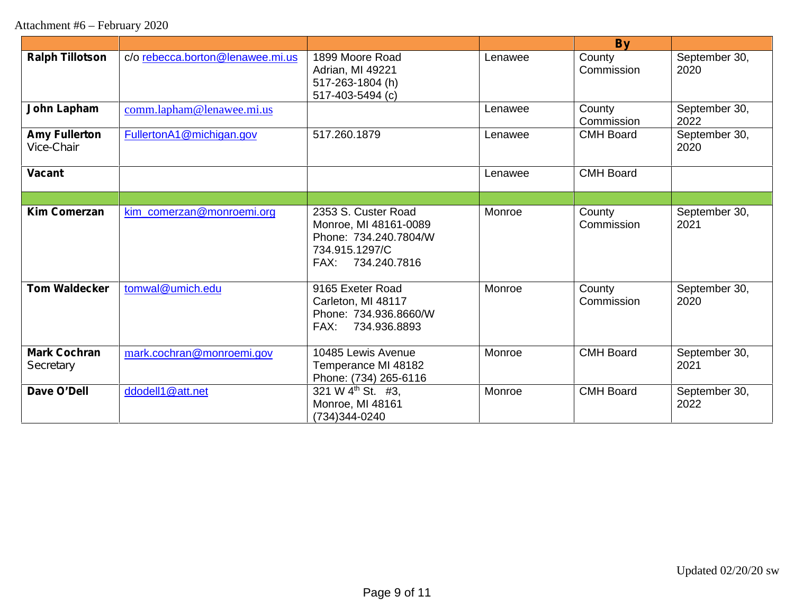Attachment #6 – February 2020

|                                    |                                  |                                                                                                              |         | <b>By</b>            |                       |
|------------------------------------|----------------------------------|--------------------------------------------------------------------------------------------------------------|---------|----------------------|-----------------------|
| <b>Ralph Tillotson</b>             | c/o rebecca.borton@lenawee.mi.us | 1899 Moore Road<br>Adrian, MI 49221<br>517-263-1804 (h)<br>517-403-5494 (c)                                  | Lenawee | County<br>Commission | September 30,<br>2020 |
| John Lapham                        | comm.lapham@lenawee.mi.us        |                                                                                                              | Lenawee | County<br>Commission | September 30,<br>2022 |
| <b>Amy Fullerton</b><br>Vice-Chair | FullertonA1@michigan.gov         | 517.260.1879                                                                                                 | Lenawee | <b>CMH Board</b>     | September 30,<br>2020 |
| <b>Vacant</b>                      |                                  |                                                                                                              | Lenawee | <b>CMH Board</b>     |                       |
|                                    |                                  |                                                                                                              |         |                      |                       |
| <b>Kim Comerzan</b>                | kim_comerzan@monroemi.org        | 2353 S. Custer Road<br>Monroe, MI 48161-0089<br>Phone: 734.240.7804/W<br>734.915.1297/C<br>FAX: 734.240.7816 | Monroe  | County<br>Commission | September 30,<br>2021 |
| <b>Tom Waldecker</b>               | tomwal@umich.edu                 | 9165 Exeter Road<br>Carleton, MI 48117<br>Phone: 734.936.8660/W<br>FAX: 734.936.8893                         | Monroe  | County<br>Commission | September 30,<br>2020 |
| <b>Mark Cochran</b><br>Secretary   | mark.cochran@monroemi.gov        | 10485 Lewis Avenue<br>Temperance MI 48182<br>Phone: (734) 265-6116                                           | Monroe  | <b>CMH Board</b>     | September 30,<br>2021 |
| Dave O'Dell                        | ddodell1@att.net                 | 321 W 4 <sup>th</sup> St. #3,<br>Monroe, MI 48161<br>(734)344-0240                                           | Monroe  | <b>CMH Board</b>     | September 30,<br>2022 |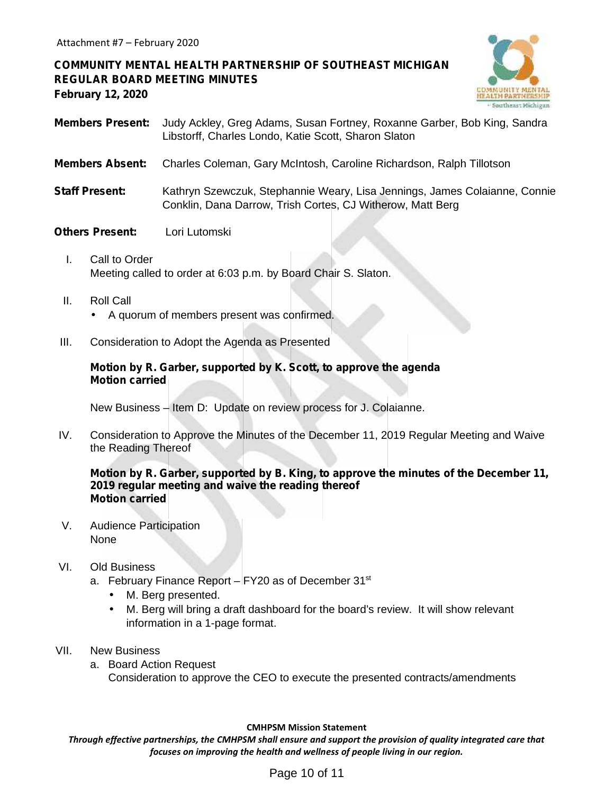**COMMUNITY MENTAL HEALTH PARTNERSHIP OF SOUTHEAST MICHIGAN REGULAR BOARD MEETING MINUTES February 12, 2020**



- **Members Present:** Judy Ackley, Greg Adams, Susan Fortney, Roxanne Garber, Bob King, Sandra Libstorff, Charles Londo, Katie Scott, Sharon Slaton
- **Members Absent:** Charles Coleman, Gary McIntosh, Caroline Richardson, Ralph Tillotson
- **Staff Present:** Kathryn Szewczuk, Stephannie Weary, Lisa Jennings, James Colaianne, Connie Conklin, Dana Darrow, Trish Cortes, CJ Witherow, Matt Berg

# **Others Present:** Lori Lutomski

- I. Call to Order Meeting called to order at 6:03 p.m. by Board Chair S. Slaton.
- II. Roll Call A quorum of members present was confirmed.
- III. Consideration to Adopt the Agenda as Presented

## **Motion by R. Garber, supported by K. Scott, to approve the agenda Motion carried**

New Business – Item D: Update on review process for J. Colaianne.

IV. Consideration to Approve the Minutes of the December 11, 2019 Regular Meeting and Waive the Reading Thereof

## **Motion by R. Garber, supported by B. King, to approve the minutes of the December 11, 2019 regular meeting and waive the reading thereof Motion carried**

V. Audience Participation None

#### VI. Old Business

- a. February Finance Report  $-$  FY20 as of December 31 $\mathrm{^{st}}$ 
	- M. Berg presented.
	- M. Berg will bring a draft dashboard for the board's review. It will show relevant information in a 1-page format.
- VII. New Business
	- a. Board Action Request Consideration to approve the CEO to execute the presented contracts/amendments

#### **CMHPSM Mission Statement**

*Through effective partnerships, the CMHPSM shall ensure and support the provision of quality integrated care that focuses on improving the health and wellness of people living in our region.*